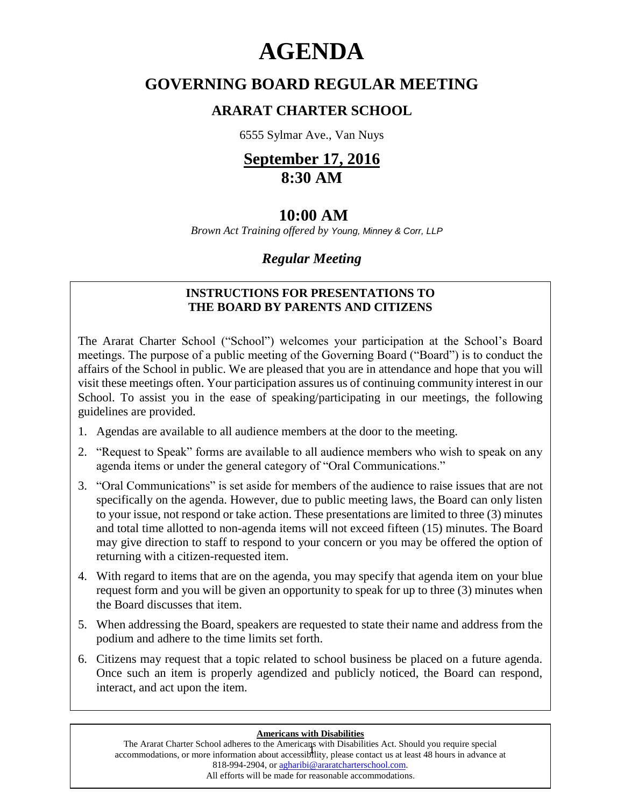# **AGENDA**

# **GOVERNING BOARD REGULAR MEETING**

# **ARARAT CHARTER SCHOOL**

6555 Sylmar Ave., Van Nuys

# **September 17, 2016 8:30 AM**

# **10:00 AM**

 *Brown Act Training offered by Young, Minney & Corr, LLP*

# *Regular Meeting*

# **INSTRUCTIONS FOR PRESENTATIONS TO THE BOARD BY PARENTS AND CITIZENS**

The Ararat Charter School ("School") welcomes your participation at the School's Board meetings. The purpose of a public meeting of the Governing Board ("Board") is to conduct the affairs of the School in public. We are pleased that you are in attendance and hope that you will visit these meetings often. Your participation assures us of continuing community interest in our School. To assist you in the ease of speaking/participating in our meetings, the following guidelines are provided.

- 1. Agendas are available to all audience members at the door to the meeting.
- 2. "Request to Speak" forms are available to all audience members who wish to speak on any agenda items or under the general category of "Oral Communications."
- 3. "Oral Communications" is set aside for members of the audience to raise issues that are not specifically on the agenda. However, due to public meeting laws, the Board can only listen to your issue, not respond or take action. These presentations are limited to three (3) minutes and total time allotted to non-agenda items will not exceed fifteen (15) minutes. The Board may give direction to staff to respond to your concern or you may be offered the option of returning with a citizen-requested item.
- 4. With regard to items that are on the agenda, you may specify that agenda item on your blue request form and you will be given an opportunity to speak for up to three (3) minutes when the Board discusses that item.
- 5. When addressing the Board, speakers are requested to state their name and address from the podium and adhere to the time limits set forth.
- 6. Citizens may request that a topic related to school business be placed on a future agenda. Once such an item is properly agendized and publicly noticed, the Board can respond, interact, and act upon the item.

#### **Americans with Disabilities**

1 accommodations, or more information about accessibility, please contact us at least 48 hours in advance at The Ararat Charter School adheres to the Americans with Disabilities Act. Should you require special 818-994-2904, or [agharibi@araratcharterschool.com.](mailto:agharibi@araratcharterschool.com)  All efforts will be made for reasonable accommodations.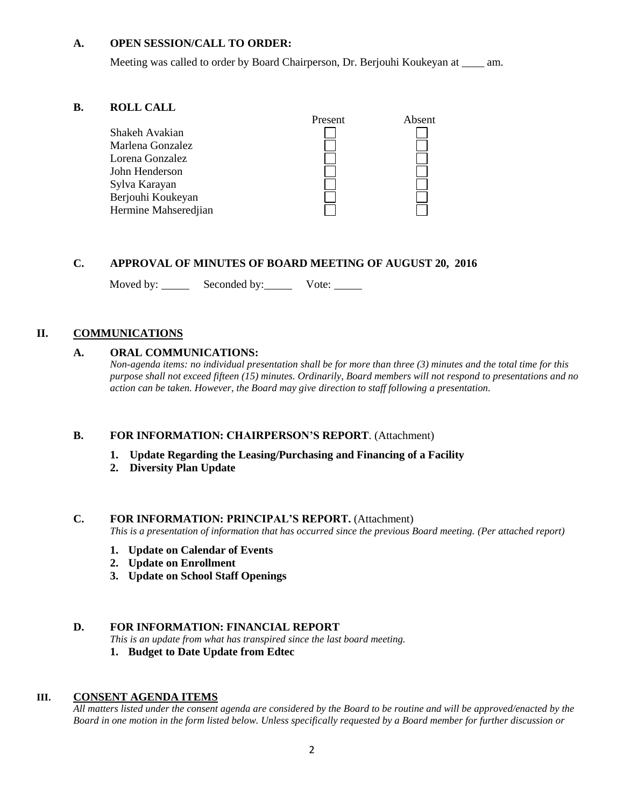#### **A. OPEN SESSION/CALL TO ORDER:**

Meeting was called to order by Board Chairperson, Dr. Berjouhi Koukeyan at \_\_\_\_ am.

#### **B. ROLL CALL**

| модо спор            |         |        |
|----------------------|---------|--------|
|                      | Present | Absent |
| Shakeh Avakian       |         |        |
| Marlena Gonzalez     |         |        |
| Lorena Gonzalez      |         |        |
| John Henderson       |         |        |
| Sylva Karayan        |         |        |
| Berjouhi Koukeyan    |         |        |
| Hermine Mahseredjian |         |        |
|                      |         |        |

## **C. APPROVAL OF MINUTES OF BOARD MEETING OF AUGUST 20, 2016**

Moved by: Seconded by: Vote: Vote:

## **II. COMMUNICATIONS**

#### **A. ORAL COMMUNICATIONS:**

*Non-agenda items: no individual presentation shall be for more than three (3) minutes and the total time for this purpose shall not exceed fifteen (15) minutes. Ordinarily, Board members will not respond to presentations and no action can be taken. However, the Board may give direction to staff following a presentation.*

#### **B. FOR INFORMATION: CHAIRPERSON'S REPORT**. (Attachment)

- **1. Update Regarding the Leasing/Purchasing and Financing of a Facility**
- **2. Diversity Plan Update**

### **C. FOR INFORMATION: PRINCIPAL'S REPORT.** (Attachment)

*This is a presentation of information that has occurred since the previous Board meeting. (Per attached report)*

- **1. Update on Calendar of Events**
- **2. Update on Enrollment**
- **3. Update on School Staff Openings**

#### **D. FOR INFORMATION: FINANCIAL REPORT**

*This is an update from what has transpired since the last board meeting.*

**1. Budget to Date Update from Edtec**

#### **III. CONSENT AGENDA ITEMS**

*All matters listed under the consent agenda are considered by the Board to be routine and will be approved/enacted by the Board in one motion in the form listed below. Unless specifically requested by a Board member for further discussion or*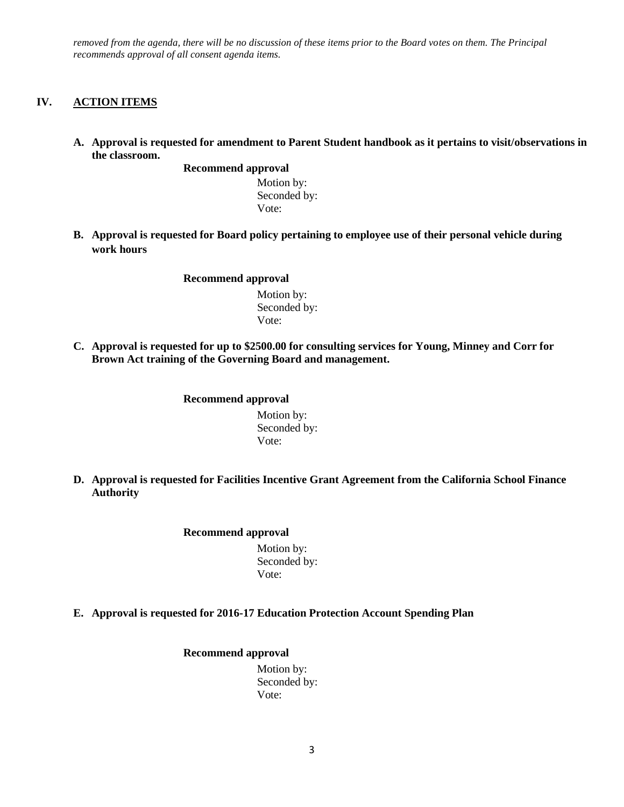*removed from the agenda, there will be no discussion of these items prior to the Board votes on them. The Principal recommends approval of all consent agenda items.*

### **IV. ACTION ITEMS**

**A. Approval is requested for amendment to Parent Student handbook as it pertains to visit/observations in the classroom.**

**Recommend approval**

 Motion by: Seconded by: Vote:

**B. Approval is requested for Board policy pertaining to employee use of their personal vehicle during work hours**

**Recommend approval**

 Motion by: Seconded by: Vote:

**C. Approval is requested for up to \$2500.00 for consulting services for Young, Minney and Corr for Brown Act training of the Governing Board and management.**

#### **Recommend approval**

 Motion by: Seconded by: Vote:

**D. Approval is requested for Facilities Incentive Grant Agreement from the California School Finance Authority**

#### **Recommend approval**

 Motion by: Seconded by: Vote:

**E. Approval is requested for 2016-17 Education Protection Account Spending Plan**

#### **Recommend approval** Motion by: Seconded by: Vote: